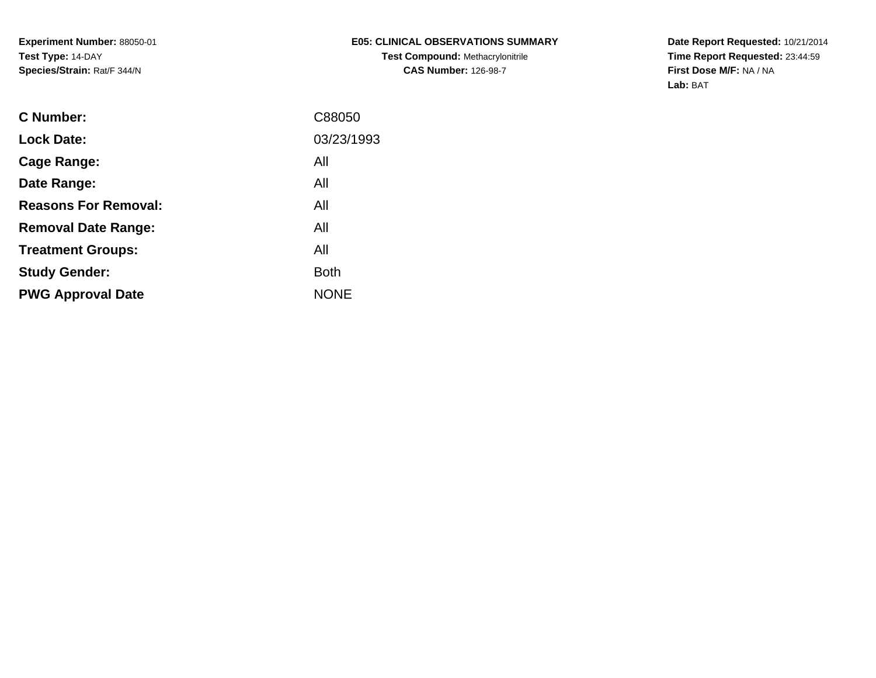**Experiment Number:** 88050-01**Test Type:** 14-DAY**Species/Strain:** Rat/F 344/N

**Date Report Requested:** 10/21/2014 **Time Report Requested:** 23:44:59**First Dose M/F:** NA / NA**Lab:** BAT

| <b>Lock Date:</b><br>All<br>Cage Range:<br>All<br>Date Range:<br><b>Reasons For Removal:</b><br>All<br>All<br><b>Removal Date Range:</b><br>All<br><b>Treatment Groups:</b><br><b>Both</b><br><b>Study Gender:</b><br><b>NONE</b><br><b>PWG Approval Date</b> | <b>C</b> Number: | C88050     |
|---------------------------------------------------------------------------------------------------------------------------------------------------------------------------------------------------------------------------------------------------------------|------------------|------------|
|                                                                                                                                                                                                                                                               |                  | 03/23/1993 |
|                                                                                                                                                                                                                                                               |                  |            |
|                                                                                                                                                                                                                                                               |                  |            |
|                                                                                                                                                                                                                                                               |                  |            |
|                                                                                                                                                                                                                                                               |                  |            |
|                                                                                                                                                                                                                                                               |                  |            |
|                                                                                                                                                                                                                                                               |                  |            |
|                                                                                                                                                                                                                                                               |                  |            |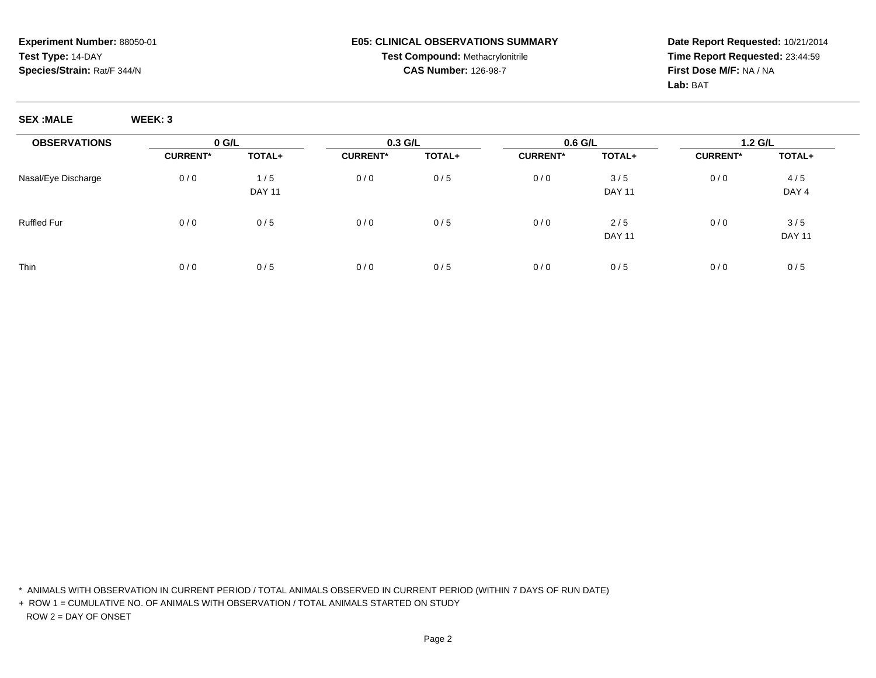**Date Report Requested:** 10/21/2014**Time Report Requested:** 23:44:59**First Dose M/F:** NA / NA**Lab:** BAT

**SEX :MALE WEEK: 3**

| <b>OBSERVATIONS</b> | $0$ G/L         |               | 0.3 G/L         |        | $0.6$ G/L       |               | $1.2$ G/L       |               |
|---------------------|-----------------|---------------|-----------------|--------|-----------------|---------------|-----------------|---------------|
|                     | <b>CURRENT*</b> | TOTAL+        | <b>CURRENT*</b> | TOTAL+ | <b>CURRENT*</b> | TOTAL+        | <b>CURRENT*</b> | <b>TOTAL+</b> |
| Nasal/Eye Discharge | 0/0             | 1/5           | 0/0             | 0/5    | 0/0             | 3/5           | 0/0             | 4/5           |
|                     |                 | <b>DAY 11</b> |                 |        |                 | <b>DAY 11</b> |                 | DAY 4         |
| <b>Ruffled Fur</b>  | 0/0             | 0/5           | 0/0             | 0/5    | 0/0             | 2/5           | 0/0             | 3/5           |
|                     |                 |               |                 |        |                 | <b>DAY 11</b> |                 | <b>DAY 11</b> |
| Thin                | 0/0             | 0/5           | 0/0             | 0/5    | 0/0             | 0/5           | 0/0             | 0/5           |

\* ANIMALS WITH OBSERVATION IN CURRENT PERIOD / TOTAL ANIMALS OBSERVED IN CURRENT PERIOD (WITHIN 7 DAYS OF RUN DATE)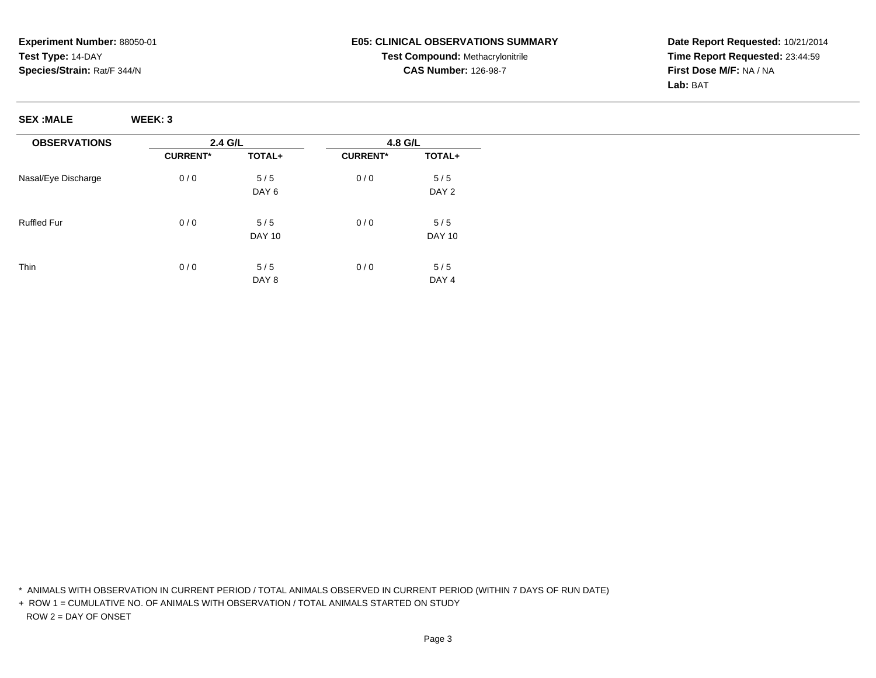**Date Report Requested:** 10/21/2014**Time Report Requested:** 23:44:59**First Dose M/F:** NA / NA**Lab:** BAT

**SEX :MALE WEEK: 3**

| <b>OBSERVATIONS</b> | 2.4 G/L         |                  | 4.8 G/L         |                  |  |
|---------------------|-----------------|------------------|-----------------|------------------|--|
|                     | <b>CURRENT*</b> | TOTAL+           | <b>CURRENT*</b> | TOTAL+           |  |
| Nasal/Eye Discharge | 0/0             | 5/5              | 0/0             | 5/5              |  |
|                     |                 | DAY <sub>6</sub> |                 | DAY 2            |  |
| <b>Ruffled Fur</b>  | 0/0             | 5/5              | 0/0             | 5/5              |  |
|                     |                 | <b>DAY 10</b>    |                 | <b>DAY 10</b>    |  |
| Thin                | 0/0             | 5/5              | 0/0             | 5/5              |  |
|                     |                 | DAY 8            |                 | DAY <sub>4</sub> |  |

\* ANIMALS WITH OBSERVATION IN CURRENT PERIOD / TOTAL ANIMALS OBSERVED IN CURRENT PERIOD (WITHIN 7 DAYS OF RUN DATE)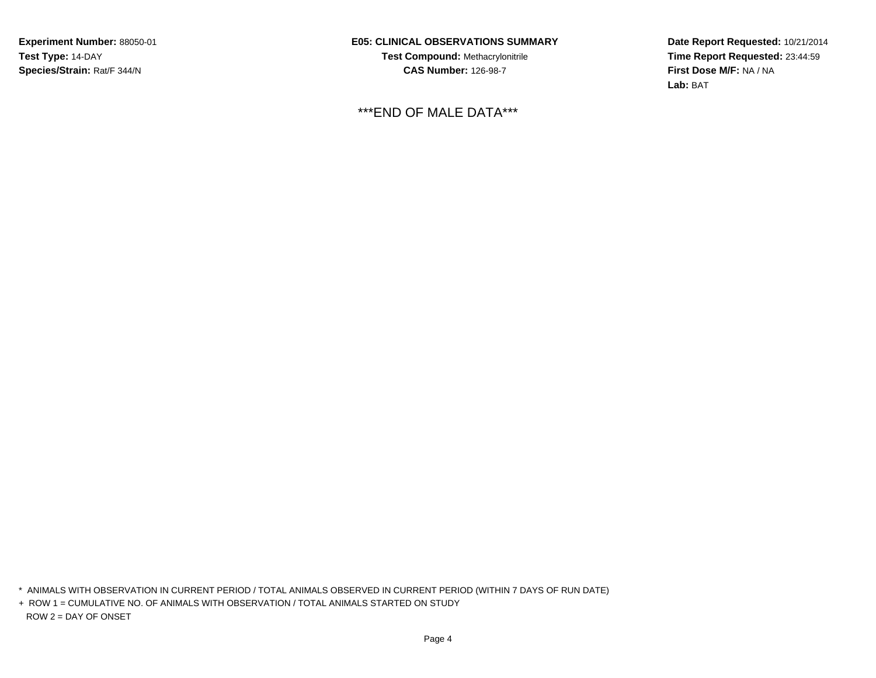**Experiment Number:** 88050-01**Test Type:** 14-DAY**Species/Strain:** Rat/F 344/N

**E05: CLINICAL OBSERVATIONS SUMMARYTest Compound:** Methacrylonitrile**CAS Number:** 126-98-7

\*\*\*END OF MALE DATA\*\*\*

**Date Report Requested:** 10/21/2014**Time Report Requested:** 23:44:59**First Dose M/F:** NA / NA**Lab:** BAT

\* ANIMALS WITH OBSERVATION IN CURRENT PERIOD / TOTAL ANIMALS OBSERVED IN CURRENT PERIOD (WITHIN 7 DAYS OF RUN DATE)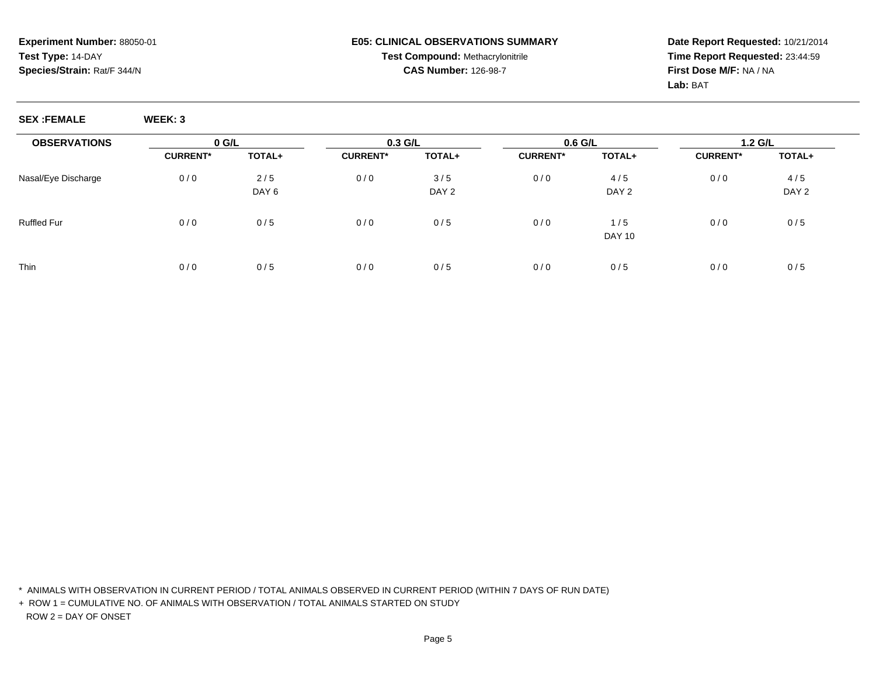**Date Report Requested:** 10/21/2014**Time Report Requested:** 23:44:59**First Dose M/F:** NA / NA**Lab:** BAT

**SEX :FEMALE WEEK: 3**

| <b>OBSERVATIONS</b> | $0$ G/L         |                  | $0.3$ G/L       |        | $0.6$ G/L       |               | $1.2$ G/L       |        |  |
|---------------------|-----------------|------------------|-----------------|--------|-----------------|---------------|-----------------|--------|--|
|                     | <b>CURRENT*</b> | TOTAL+           | <b>CURRENT*</b> | TOTAL+ | <b>CURRENT*</b> | TOTAL+        | <b>CURRENT*</b> | TOTAL+ |  |
| Nasal/Eye Discharge | 0/0             | 2/5              | 0/0             | 3/5    | 0/0             | 4/5           | 0/0             | 4/5    |  |
|                     |                 | DAY <sub>6</sub> |                 | DAY 2  |                 | DAY 2         |                 | DAY 2  |  |
| <b>Ruffled Fur</b>  | 0/0             | 0/5              | 0/0             | 0/5    | 0/0             | 1/5           | 0/0             | 0/5    |  |
|                     |                 |                  |                 |        |                 | <b>DAY 10</b> |                 |        |  |
| <b>Thin</b>         | 0/0             | 0/5              | 0/0             | 0/5    | 0/0             | 0/5           | 0/0             | 0/5    |  |
|                     |                 |                  |                 |        |                 |               |                 |        |  |

\* ANIMALS WITH OBSERVATION IN CURRENT PERIOD / TOTAL ANIMALS OBSERVED IN CURRENT PERIOD (WITHIN 7 DAYS OF RUN DATE)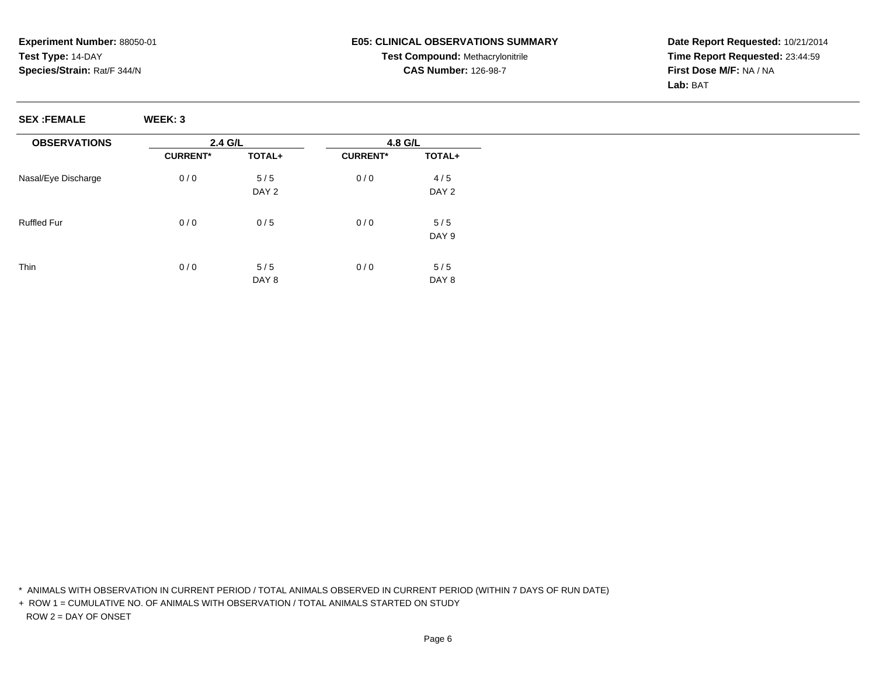**Date Report Requested:** 10/21/2014**Time Report Requested:** 23:44:59**First Dose M/F:** NA / NA**Lab:** BAT

**SEX :FEMALE WEEK: 3**

| <b>OBSERVATIONS</b> | 2.4 G/L         |                  | 4.8 G/L         |        |  |
|---------------------|-----------------|------------------|-----------------|--------|--|
|                     | <b>CURRENT*</b> | TOTAL+           | <b>CURRENT*</b> | TOTAL+ |  |
| Nasal/Eye Discharge | 0/0             | 5/5              | 0/0             | 4/5    |  |
|                     |                 | DAY 2            |                 | DAY 2  |  |
| <b>Ruffled Fur</b>  | 0/0             | 0/5              | 0/0             | 5/5    |  |
|                     |                 |                  |                 | DAY 9  |  |
|                     |                 |                  |                 |        |  |
| Thin                | 0/0             | 5/5              | 0/0             | 5/5    |  |
|                     |                 | DAY <sub>8</sub> |                 | DAY 8  |  |

\* ANIMALS WITH OBSERVATION IN CURRENT PERIOD / TOTAL ANIMALS OBSERVED IN CURRENT PERIOD (WITHIN 7 DAYS OF RUN DATE)